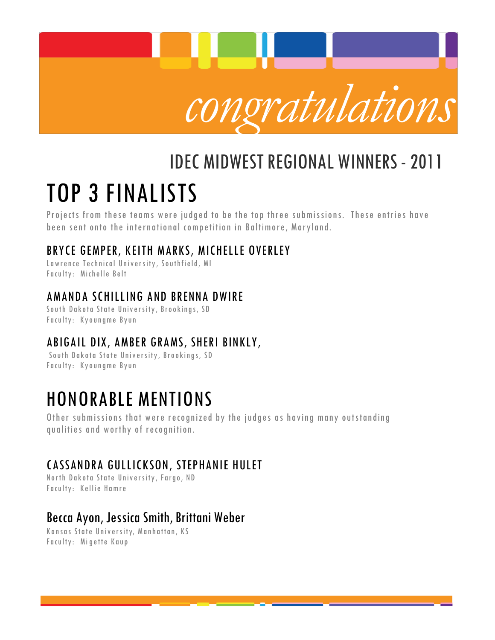

# IDEC MIDWESTREGIONAL WINNERS-2011 TOP 3 FINALISTS

Projects from these teams were judged to be the top three submissions. These entries have been sent onto the international competition in Baltimore, Maryland.

### BRYCE GEMPER, KEITH MARKS, MICHELLE OVERLEY

Lawrence Technical University, Southfield, MI Faculty: Michelle Belt

### AMANDA SCHILLING AND BRENNA DWIRE

South Dakota State University, Brookings, SD Faculty: Kyoungme Byun

## ABIGAIL DIX, AMBER GRAMS, SHERI BINKLY,

South Dakota State University, Brookings, SD Faculty: Kyoungme Byun

## HONORABLE MENTIONS

Other submissions that were recognized by the judges as having many outstanding qualities and worthy of recognition.

## CASSANDRA GULLICKSON, STEPHANIE HULET

North Dakota State University, Fargo, ND Faculty: Kellie Hamre

## Becca Ayon, Jessica Smith, Brittani Weber

Kansas State University, Manhattan, KS Faculty: Mi gette Kaup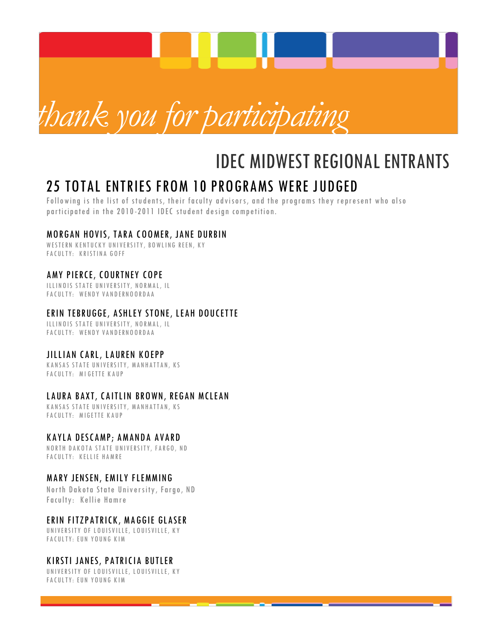

## **IDEC MIDWEST REGIONAL ENTRANTS**

## 25 TOTAL ENTRIES FROM 10 PROGRAMS WERE JUDGED

Following is the list of students, their faculty advisors, and the programs they represent who also participated in the 2010-2011 IDEC student design competition.

### MORGAN HOVIS, TARA COOMER, JANE DURBIN

WESTERN KENTUCKY UNIVERSITY, BOWLING REEN, KY FACULTY: KRISTINA GOFF

### AMY PIERCE, COURTNEY COPE

ILLIN OIS STATE UNIVERSITY, NORMAL, IL FA CULTY: WENDY VANDERNOORDAA

### ERIN TEBRUGGE, ASHLEY STONE, LEAH DOUCETTE

ILLINOIS STATE UNIVERSITY, NORMAL, IL FACULTY: WENDY VANDERNOORDAA

### JILLIAN CARL, LAUREN KOEPP

KANSAS STATE UNIVERSITY, MANHATTAN, KS FACULTY: MIGETTE KAUP

### LAURA BAXT, CAITLIN BROWN, REGAN MCLEAN

KANSAS STATE UNIVERSITY, MANHATTAN, KS FACULTY: MIGETTE KAUP

### KAYLA DESCAMP; AMANDA AVARD

N O RTH D A K O T A STATE UNIVERSITY, FARGO, ND FACULTY: KELLIE HAMRE

### MARY JENSEN, EMILY FLEMMING

North Dakota State University, Fargo, ND Faculty: Kellie Hamre

### ERIN FITZPATRICK, MAGGIE GLASER

UNIVERSITY OF LOUISVILLE, LOUISVILLE, KY FACULTY: EUN YOUNG KIM

### KIRSTI JANES, PATRICIA BUTLER

UNIVERSITY OF LOUISVILLE, LOUISVILLE, KY FACULTY: EUN YOUNG KIM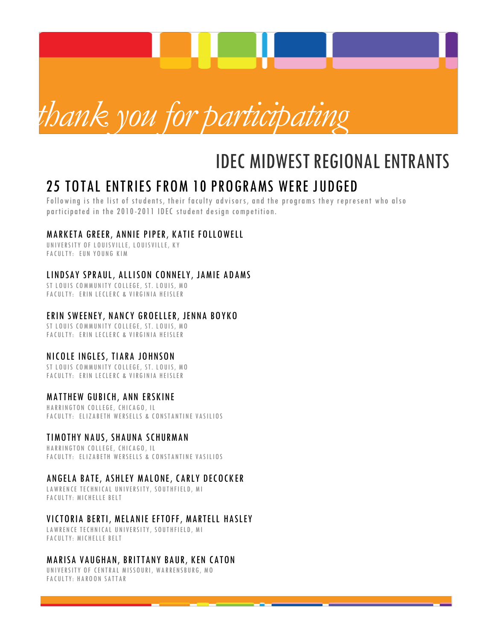

## **IDEC MIDWEST REGIONAL ENTRANTS**

## 25 TOTAL ENTRIES FROM 10 PROGRAMS WERE JUDGED

Following is the list of students, their faculty advisors, and the programs they represent who also participated in the 2010-2011 IDEC student design competition.

### MARKETA GREER, ANNIE PIPER, KATIE FOLLOWELL

UNIVERSITY OF LOUISVILLE, LOUISVILLE, KY FACULTY: EUN YOUNG KIM

### LINDSAY SPRAUL, ALLISON CONNELY, JAMIE ADAMS

ST LOUIS COMMUNITY COLLEGE, ST. LOUIS, MO FA CULTY: ERIN LECLERC & VIRGINIA HEISLER

### ERIN SWEENEY, NANCY GROELLER, JENNA BOYKO

ST LOUIS COMMUNITY COLLEGE, ST. LOUIS, MO FACULTY: ERIN LECLERC & VIRGINIA HEISLER

### NICOLE INGLES, TIARA JOHNSON

ST LOUIS COMMUNITY COLLEGE, ST. LOUIS, MO FA CULTY: ERIN LECLERC & VIRGINIA HEISLER

### MATTHEW GUBICH, ANN ERSKINE

HARRINGTON COLLEGE, CHICAGO, IL FACULTY: ELIZABETH WERSELLS & CONSTANTINE VASILIOS

### TIMOTHY NAUS, SHAUNA SCHURMAN

HARRINGTON COLLEGE, CHICAGO, IL FACULTY: ELIZABETH WERSELLS & CONSTANTINE VASILIOS

### ANGELA BATE, ASHLEY MALONE, CARLY DECOCKER

LAWRENCE TECHNICAL UNIVERSITY, SOUTHFIELD, MI FA CULTY: MICHELLE BELT

### VICTORIA BERTI, MELANIE EFTOFF, MARTELL HASLEY

LAWRENCE TECHNICAL UNIVERSITY, SOUTHFIELD, MI FA CULTY: MICHELLE BELT

### MARISA VAUGHAN, BRITTANY BAUR, KEN CATON

UNIVERSITY OF CENTRAL MISSOURI, WARRENSBURG, MO FACULTY: HAROON SATTAR